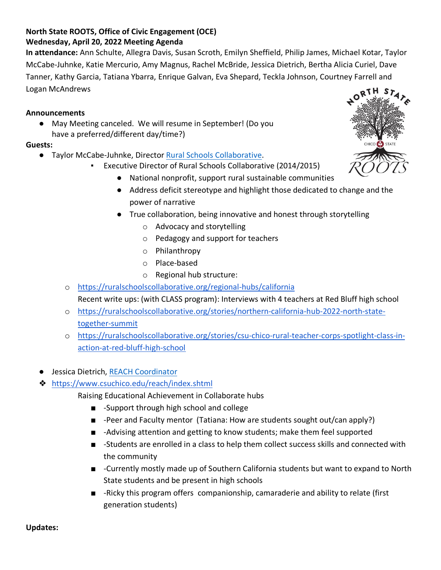## **North State ROOTS, Office of Civic Engagement (OCE) Wednesday, April 20, 2022 Meeting Agenda**

**In attendance:** Ann Schulte, Allegra Davis, Susan Scroth, Emilyn Sheffield, Philip James, Michael Kotar, Taylor McCabe-Juhnke, Katie Mercurio, Amy Magnus, Rachel McBride, Jessica Dietrich, Bertha Alicia Curiel, Dave Tanner, Kathy Garcia, Tatiana Ybarra, Enrique Galvan, Eva Shepard, Teckla Johnson, Courtney Farrell and Logan McAndrews

## **Announcements**

May Meeting canceled. We will resume in September! (Do you have a preferred/different day/time?)

#### **Guests:**

- Taylor McCabe-Juhnke, Director [Rural Schools Collaborative.](https://ruralschoolscollaborative.org/)
	- Executive Director of Rural Schools Collaborative (2014/2015)
		- National nonprofit, support rural sustainable communities
		- Address deficit stereotype and highlight those dedicated to change and the power of narrative
		- True collaboration, being innovative and honest through storytelling
			- o Advocacy and storytelling
			- o Pedagogy and support for teachers
			- o Philanthropy
			- o Place-based
			- o Regional hub structure:
	- o <https://ruralschoolscollaborative.org/regional-hubs/california> Recent write ups: (with CLASS program): Interviews with 4 teachers at Red Bluff high school
	- o [https://ruralschoolscollaborative.org/stories/northern-california-hub-2022-north-state](https://ruralschoolscollaborative.org/stories/northern-california-hub-2022-north-state-together-summit)[together-summit](https://ruralschoolscollaborative.org/stories/northern-california-hub-2022-north-state-together-summit)
	- o [https://ruralschoolscollaborative.org/stories/csu-chico-rural-teacher-corps-spotlight-class-in](https://ruralschoolscollaborative.org/stories/csu-chico-rural-teacher-corps-spotlight-class-in-action-at-red-bluff-high-school)[action-at-red-bluff-high-school](https://ruralschoolscollaborative.org/stories/csu-chico-rural-teacher-corps-spotlight-class-in-action-at-red-bluff-high-school)
- Jessica Dietrich, [REACH Coordinator](https://www.csuchico.edu/reach/people/coordinator/dietrich.shtml)
- ❖ <https://www.csuchico.edu/reach/index.shtml>
	- Raising Educational Achievement in Collaborate hubs
		- -Support through high school and college
		- -Peer and Faculty mentor (Tatiana: How are students sought out/can apply?)
		- -Advising attention and getting to know students; make them feel supported
		- -Students are enrolled in a class to help them collect success skills and connected with the community
		- -Currently mostly made up of Southern California students but want to expand to North State students and be present in high schools
		- -Ricky this program offers companionship, camaraderie and ability to relate (first generation students)